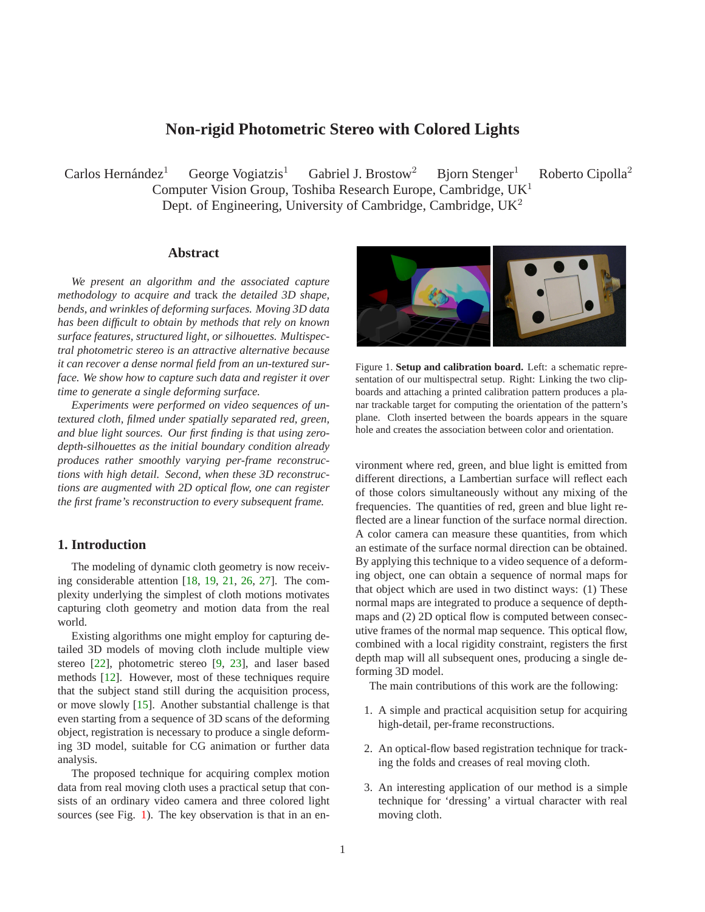# **Non-rigid Photometric Stereo with Colored Lights**

<span id="page-0-1"></span> $Carlos$  Hernández<sup>1</sup> George Vogiatzis<sup>1</sup> Gabriel J. Brostow<sup>2</sup> Bjorn Stenger<sup>1</sup> Roberto Cipolla<sup>2</sup> Computer Vision Group, Toshiba Research Europe, Cambridge, UK<sup>1</sup> Dept. of Engineering, University of Cambridge, Cambridge,  $UK<sup>2</sup>$ 

## **Abstract**

*We present an algorithm and the associated capture methodology to acquire and* track *the detailed 3D shape, bends, and wrinkles of deforming surfaces. Moving 3D data has been difficult to obtain by methods that rely on known surface features, structured light, or silhouettes. Multispectral photometric stereo is an attractive alternative because it can recover a dense normal field from an un-textured surface. We show how to capture such data and register it over time to generate a single deforming surface.*

*Experiments were performed on video sequences of untextured cloth, filmed under spatially separated red, green, and blue light sources. Our first finding is that using zerodepth-silhouettes as the initial boundary condition already produces rather smoothly varying per-frame reconstructions with high detail. Second, when these 3D reconstructions are augmented with 2D optical flow, one can register the first frame's reconstruction to every subsequent frame.*

## **1. Introduction**

The modeling of dynamic cloth geometry is now receiving considerable attention [\[18,](#page-7-0) [19,](#page-7-1) [21,](#page-7-2) [26,](#page-7-3) [27\]](#page-7-4). The complexity underlying the simplest of cloth motions motivates capturing cloth geometry and motion data from the real world.

Existing algorithms one might employ for capturing detailed 3D models of moving cloth include multiple view stereo [\[22\]](#page-7-5), photometric stereo [\[9,](#page-6-0) [23\]](#page-7-6), and laser based methods [\[12\]](#page-6-1). However, most of these techniques require that the subject stand still during the acquisition process, or move slowly [\[15\]](#page-7-7). Another substantial challenge is that even starting from a sequence of 3D scans of the deforming object, registration is necessary to produce a single deforming 3D model, suitable for CG animation or further data analysis.

The proposed technique for acquiring complex motion data from real moving cloth uses a practical setup that consists of an ordinary video camera and three colored light sources (see Fig. [1\)](#page-0-0). The key observation is that in an en-



<span id="page-0-0"></span>Figure 1. **Setup and calibration board.** Left: a schematic representation of our multispectral setup. Right: Linking the two clipboards and attaching a printed calibration pattern produces a planar trackable target for computing the orientation of the pattern's plane. Cloth inserted between the boards appears in the square hole and creates the association between color and orientation.

vironment where red, green, and blue light is emitted from different directions, a Lambertian surface will reflect each of those colors simultaneously without any mixing of the frequencies. The quantities of red, green and blue light reflected are a linear function of the surface normal direction. A color camera can measure these quantities, from which an estimate of the surface normal direction can be obtained. By applying this technique to a video sequence of a deforming object, one can obtain a sequence of normal maps for that object which are used in two distinct ways: (1) These normal maps are integrated to produce a sequence of depthmaps and (2) 2D optical flow is computed between consecutive frames of the normal map sequence. This optical flow, combined with a local rigidity constraint, registers the first depth map will all subsequent ones, producing a single deforming 3D model.

The main contributions of this work are the following:

- 1. A simple and practical acquisition setup for acquiring high-detail, per-frame reconstructions.
- 2. An optical-flow based registration technique for tracking the folds and creases of real moving cloth.
- 3. An interesting application of our method is a simple technique for 'dressing' a virtual character with real moving cloth.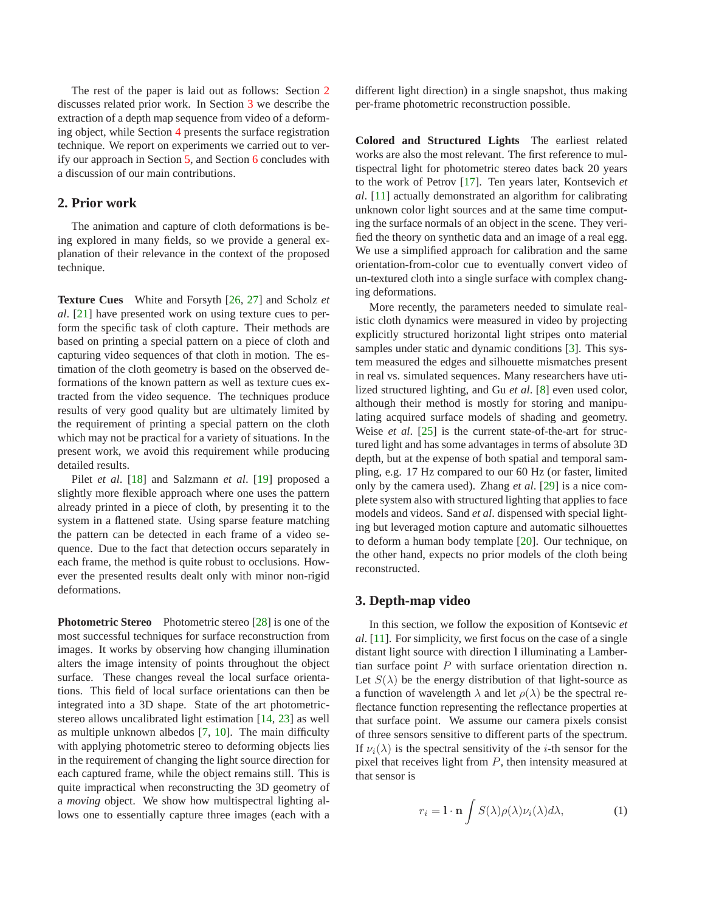<span id="page-1-2"></span>The rest of the paper is laid out as follows: Section [2](#page-1-0) discusses related prior work. In Section [3](#page-1-1) we describe the extraction of a depth map sequence from video of a deforming object, while Section [4](#page-2-0) presents the surface registration technique. We report on experiments we carried out to verify our approach in Section [5,](#page-3-0) and Section [6](#page-4-0) concludes with a discussion of our main contributions.

#### <span id="page-1-0"></span>**2. Prior work**

The animation and capture of cloth deformations is being explored in many fields, so we provide a general explanation of their relevance in the context of the proposed technique.

**Texture Cues** White and Forsyth [\[26,](#page-7-3) [27\]](#page-7-4) and Scholz *et al*. [\[21\]](#page-7-2) have presented work on using texture cues to perform the specific task of cloth capture. Their methods are based on printing a special pattern on a piece of cloth and capturing video sequences of that cloth in motion. The estimation of the cloth geometry is based on the observed deformations of the known pattern as well as texture cues extracted from the video sequence. The techniques produce results of very good quality but are ultimately limited by the requirement of printing a special pattern on the cloth which may not be practical for a variety of situations. In the present work, we avoid this requirement while producing detailed results.

Pilet *et al*. [\[18\]](#page-7-0) and Salzmann *et al*. [\[19\]](#page-7-1) proposed a slightly more flexible approach where one uses the pattern already printed in a piece of cloth, by presenting it to the system in a flattened state. Using sparse feature matching the pattern can be detected in each frame of a video sequence. Due to the fact that detection occurs separately in each frame, the method is quite robust to occlusions. However the presented results dealt only with minor non-rigid deformations.

**Photometric Stereo** Photometric stereo [\[28\]](#page-7-8) is one of the most successful techniques for surface reconstruction from images. It works by observing how changing illumination alters the image intensity of points throughout the object surface. These changes reveal the local surface orientations. This field of local surface orientations can then be integrated into a 3D shape. State of the art photometricstereo allows uncalibrated light estimation [\[14,](#page-7-9) [23\]](#page-7-6) as well as multiple unknown albedos [\[7,](#page-6-2) [10\]](#page-6-3). The main difficulty with applying photometric stereo to deforming objects lies in the requirement of changing the light source direction for each captured frame, while the object remains still. This is quite impractical when reconstructing the 3D geometry of a *moving* object. We show how multispectral lighting allows one to essentially capture three images (each with a

different light direction) in a single snapshot, thus making per-frame photometric reconstruction possible.

**Colored and Structured Lights** The earliest related works are also the most relevant. The first reference to multispectral light for photometric stereo dates back 20 years to the work of Petrov [\[17\]](#page-7-10). Ten years later, Kontsevich *et al*. [\[11\]](#page-6-4) actually demonstrated an algorithm for calibrating unknown color light sources and at the same time computing the surface normals of an object in the scene. They verified the theory on synthetic data and an image of a real egg. We use a simplified approach for calibration and the same orientation-from-color cue to eventually convert video of un-textured cloth into a single surface with complex changing deformations.

More recently, the parameters needed to simulate realistic cloth dynamics were measured in video by projecting explicitly structured horizontal light stripes onto material samples under static and dynamic conditions [\[3\]](#page-5-0). This system measured the edges and silhouette mismatches present in real vs. simulated sequences. Many researchers have utilized structured lighting, and Gu *et al*. [\[8\]](#page-6-5) even used color, although their method is mostly for storing and manipulating acquired surface models of shading and geometry. Weise *et al*. [\[25\]](#page-7-11) is the current state-of-the-art for structured light and has some advantages in terms of absolute 3D depth, but at the expense of both spatial and temporal sampling, e.g. 17 Hz compared to our 60 Hz (or faster, limited only by the camera used). Zhang *et al*. [\[29\]](#page-7-12) is a nice complete system also with structured lighting that applies to face models and videos. Sand *et al*. dispensed with special lighting but leveraged motion capture and automatic silhouettes to deform a human body template [\[20\]](#page-7-13). Our technique, on the other hand, expects no prior models of the cloth being reconstructed.

### <span id="page-1-1"></span>**3. Depth-map video**

In this section, we follow the exposition of Kontsevic *et al*. [\[11\]](#page-6-4). For simplicity, we first focus on the case of a single distant light source with direction l illuminating a Lambertian surface point  $P$  with surface orientation direction  $n$ . Let  $S(\lambda)$  be the energy distribution of that light-source as a function of wavelength  $\lambda$  and let  $\rho(\lambda)$  be the spectral reflectance function representing the reflectance properties at that surface point. We assume our camera pixels consist of three sensors sensitive to different parts of the spectrum. If  $\nu_i(\lambda)$  is the spectral sensitivity of the *i*-th sensor for the pixel that receives light from  $P$ , then intensity measured at that sensor is

$$
r_i = \mathbf{l} \cdot \mathbf{n} \int S(\lambda) \rho(\lambda) \nu_i(\lambda) d\lambda, \tag{1}
$$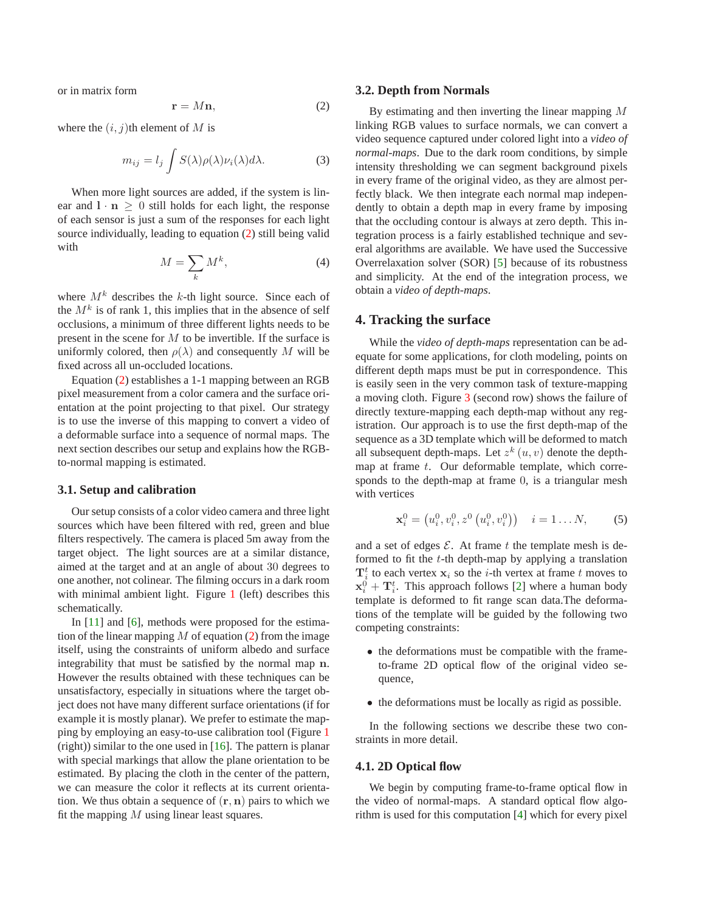<span id="page-2-2"></span><span id="page-2-1"></span>or in matrix form

$$
\mathbf{r} = M\mathbf{n},\tag{2}
$$

where the  $(i, j)$ th element of M is

$$
m_{ij} = l_j \int S(\lambda) \rho(\lambda) \nu_i(\lambda) d\lambda.
$$
 (3)

When more light sources are added, if the system is linear and  $l \cdot n > 0$  still holds for each light, the response of each sensor is just a sum of the responses for each light source individually, leading to equation [\(2\)](#page-2-1) still being valid with

$$
M = \sum_{k} M^{k},\tag{4}
$$

where  $M<sup>k</sup>$  describes the k-th light source. Since each of the  $M^k$  is of rank 1, this implies that in the absence of self occlusions, a minimum of three different lights needs to be present in the scene for M to be invertible. If the surface is uniformly colored, then  $\rho(\lambda)$  and consequently M will be fixed across all un-occluded locations.

Equation [\(2\)](#page-2-1) establishes a 1-1 mapping between an RGB pixel measurement from a color camera and the surface orientation at the point projecting to that pixel. Our strategy is to use the inverse of this mapping to convert a video of a deformable surface into a sequence of normal maps. The next section describes our setup and explains how the RGBto-normal mapping is estimated.

#### **3.1. Setup and calibration**

Our setup consists of a color video camera and three light sources which have been filtered with red, green and blue filters respectively. The camera is placed 5m away from the target object. The light sources are at a similar distance, aimed at the target and at an angle of about 30 degrees to one another, not colinear. The filming occurs in a dark room with minimal ambient light. Figure [1](#page-0-0) (left) describes this schematically.

In [\[11\]](#page-6-4) and [\[6\]](#page-6-6), methods were proposed for the estimation of the linear mapping  $M$  of equation [\(2\)](#page-2-1) from the image itself, using the constraints of uniform albedo and surface integrability that must be satisfied by the normal map n. However the results obtained with these techniques can be unsatisfactory, especially in situations where the target object does not have many different surface orientations (if for example it is mostly planar). We prefer to estimate the mapping by employing an easy-to-use calibration tool (Figure [1](#page-0-0) (right)) similar to the one used in  $[16]$ . The pattern is planar with special markings that allow the plane orientation to be estimated. By placing the cloth in the center of the pattern, we can measure the color it reflects at its current orientation. We thus obtain a sequence of  $(\mathbf{r}, \mathbf{n})$  pairs to which we fit the mapping  $M$  using linear least squares.

#### **3.2. Depth from Normals**

By estimating and then inverting the linear mapping M linking RGB values to surface normals, we can convert a video sequence captured under colored light into a *video of normal-maps*. Due to the dark room conditions, by simple intensity thresholding we can segment background pixels in every frame of the original video, as they are almost perfectly black. We then integrate each normal map independently to obtain a depth map in every frame by imposing that the occluding contour is always at zero depth. This integration process is a fairly established technique and several algorithms are available. We have used the Successive Overrelaxation solver (SOR) [\[5\]](#page-6-7) because of its robustness and simplicity. At the end of the integration process, we obtain a *video of depth-maps*.

#### <span id="page-2-0"></span>**4. Tracking the surface**

While the *video of depth-maps* representation can be adequate for some applications, for cloth modeling, points on different depth maps must be put in correspondence. This is easily seen in the very common task of texture-mapping a moving cloth. Figure [3](#page-5-1) (second row) shows the failure of directly texture-mapping each depth-map without any registration. Our approach is to use the first depth-map of the sequence as a 3D template which will be deformed to match all subsequent depth-maps. Let  $z^k(u, v)$  denote the depthmap at frame  $t$ . Our deformable template, which corresponds to the depth-map at frame 0, is a triangular mesh with vertices

$$
\mathbf{x}_i^0 = \left( u_i^0, v_i^0, z^0 \left( u_i^0, v_i^0 \right) \right) \quad i = 1 \dots N, \tag{5}
$$

and a set of edges  $\mathcal E$ . At frame t the template mesh is deformed to fit the t-th depth-map by applying a translation  $\mathbf{T}_i^t$  to each vertex  $\mathbf{x}_i$  so the *i*-th vertex at frame *t* moves to  $\mathbf{x}_i^0 + \mathbf{T}_i^t$ . This approach follows [\[2\]](#page-5-2) where a human body template is deformed to fit range scan data.The deformations of the template will be guided by the following two competing constraints:

- the deformations must be compatible with the frameto-frame 2D optical flow of the original video sequence,
- the deformations must be locally as rigid as possible.

In the following sections we describe these two constraints in more detail.

### **4.1. 2D Optical flow**

We begin by computing frame-to-frame optical flow in the video of normal-maps. A standard optical flow algorithm is used for this computation [\[4\]](#page-6-8) which for every pixel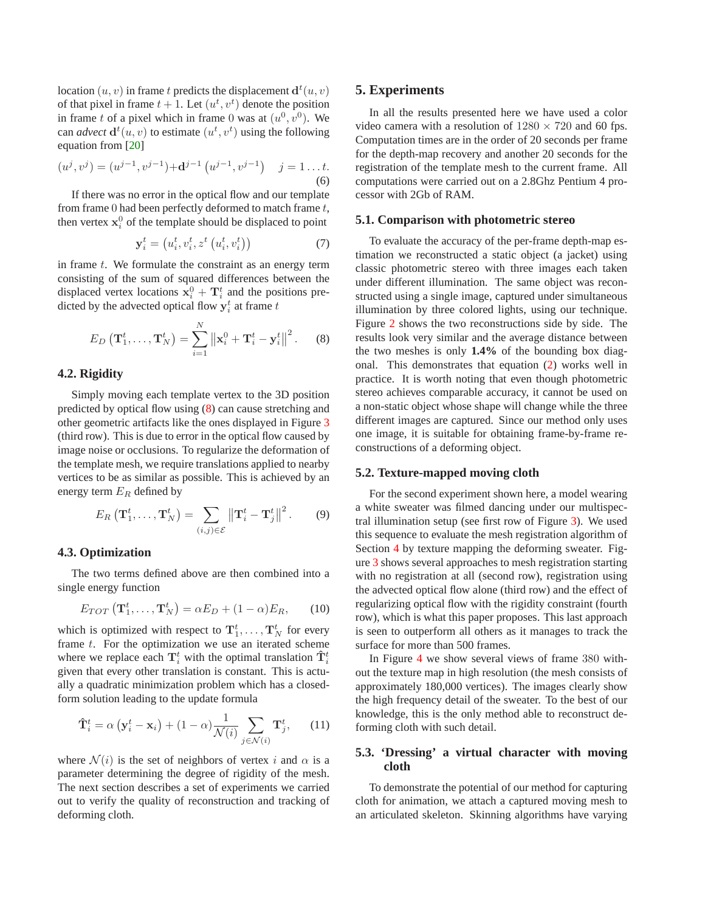<span id="page-3-2"></span>location  $(u, v)$  in frame t predicts the displacement  $\mathbf{d}^{t}(u, v)$ of that pixel in frame  $t + 1$ . Let  $(u^t, v^t)$  denote the position in frame t of a pixel which in frame 0 was at  $(u^0, v^0)$ . We can *advect*  $\mathbf{d}^{t}(u, v)$  to estimate  $(u^{t}, v^{t})$  using the following equation from [\[20\]](#page-7-13)

$$
(u^j, v^j) = (u^{j-1}, v^{j-1}) + \mathbf{d}^{j-1} (u^{j-1}, v^{j-1}) \quad j = 1...t.
$$
  
(6)

If there was no error in the optical flow and our template from frame  $0$  had been perfectly deformed to match frame  $t$ , then vertex  $x_i^0$  of the template should be displaced to point

$$
\mathbf{y}_i^t = \left(u_i^t, v_i^t, z^t\left(u_i^t, v_i^t\right)\right) \tag{7}
$$

in frame  $t$ . We formulate the constraint as an energy term consisting of the sum of squared differences between the displaced vertex locations  $x_i^0 + T_i^t$  and the positions predicted by the advected optical flow  $y_i^t$  at frame t

$$
E_D\left(\mathbf{T}_1^t, \ldots, \mathbf{T}_N^t\right) = \sum_{i=1}^N \left\| \mathbf{x}_i^0 + \mathbf{T}_i^t - \mathbf{y}_i^t \right\|^2. \tag{8}
$$

### <span id="page-3-1"></span>**4.2. Rigidity**

Simply moving each template vertex to the 3D position predicted by optical flow using [\(8\)](#page-3-1) can cause stretching and other geometric artifacts like the ones displayed in Figure [3](#page-5-1) (third row). This is due to error in the optical flow caused by image noise or occlusions. To regularize the deformation of the template mesh, we require translations applied to nearby vertices to be as similar as possible. This is achieved by an energy term  $E_R$  defined by

$$
E_R\left(\mathbf{T}_1^t,\ldots,\mathbf{T}_N^t\right) = \sum_{(i,j)\in\mathcal{E}} \left\|\mathbf{T}_i^t - \mathbf{T}_j^t\right\|^2. \tag{9}
$$

#### **4.3. Optimization**

The two terms defined above are then combined into a single energy function

$$
E_{TOT}\left(\mathbf{T}_1^t, \ldots, \mathbf{T}_N^t\right) = \alpha E_D + (1 - \alpha) E_R, \qquad (10)
$$

which is optimized with respect to  $\mathbf{T}_1^t, \ldots, \mathbf{T}_N^t$  for every frame  $t$ . For the optimization we use an iterated scheme where we replace each  $\mathbf{T}_i^t$  with the optimal translation  $\mathbf{\hat{T}}_i^t$ given that every other translation is constant. This is actually a quadratic minimization problem which has a closedform solution leading to the update formula

$$
\mathbf{\hat{T}}_i^t = \alpha \left( \mathbf{y}_i^t - \mathbf{x}_i \right) + (1 - \alpha) \frac{1}{\mathcal{N}(i)} \sum_{j \in \mathcal{N}(i)} \mathbf{T}_j^t, \qquad (11)
$$

where  $\mathcal{N}(i)$  is the set of neighbors of vertex i and  $\alpha$  is a parameter determining the degree of rigidity of the mesh. The next section describes a set of experiments we carried out to verify the quality of reconstruction and tracking of deforming cloth.

#### <span id="page-3-0"></span>**5. Experiments**

In all the results presented here we have used a color video camera with a resolution of  $1280 \times 720$  and 60 fps. Computation times are in the order of 20 seconds per frame for the depth-map recovery and another 20 seconds for the registration of the template mesh to the current frame. All computations were carried out on a 2.8Ghz Pentium 4 processor with 2Gb of RAM.

#### **5.1. Comparison with photometric stereo**

To evaluate the accuracy of the per-frame depth-map estimation we reconstructed a static object (a jacket) using classic photometric stereo with three images each taken under different illumination. The same object was reconstructed using a single image, captured under simultaneous illumination by three colored lights, using our technique. Figure [2](#page-4-1) shows the two reconstructions side by side. The results look very similar and the average distance between the two meshes is only **1.4%** of the bounding box diagonal. This demonstrates that equation [\(2\)](#page-2-1) works well in practice. It is worth noting that even though photometric stereo achieves comparable accuracy, it cannot be used on a non-static object whose shape will change while the three different images are captured. Since our method only uses one image, it is suitable for obtaining frame-by-frame reconstructions of a deforming object.

#### **5.2. Texture-mapped moving cloth**

For the second experiment shown here, a model wearing a white sweater was filmed dancing under our multispectral illumination setup (see first row of Figure [3\)](#page-5-1). We used this sequence to evaluate the mesh registration algorithm of Section [4](#page-2-0) by texture mapping the deforming sweater. Figure [3](#page-5-1) shows several approaches to mesh registration starting with no registration at all (second row), registration using the advected optical flow alone (third row) and the effect of regularizing optical flow with the rigidity constraint (fourth row), which is what this paper proposes. This last approach is seen to outperform all others as it manages to track the surface for more than 500 frames.

In Figure [4](#page-6-9) we show several views of frame 380 without the texture map in high resolution (the mesh consists of approximately 180,000 vertices). The images clearly show the high frequency detail of the sweater. To the best of our knowledge, this is the only method able to reconstruct deforming cloth with such detail.

### **5.3. 'Dressing' a virtual character with moving cloth**

To demonstrate the potential of our method for capturing cloth for animation, we attach a captured moving mesh to an articulated skeleton. Skinning algorithms have varying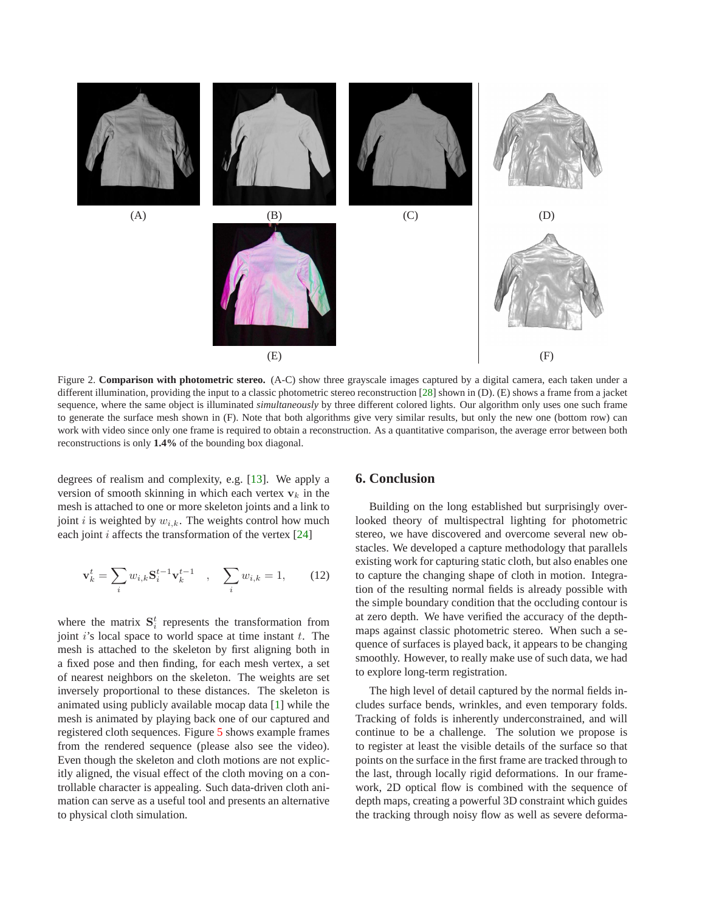<span id="page-4-2"></span>

<span id="page-4-1"></span>Figure 2. **Comparison with photometric stereo.** (A-C) show three grayscale images captured by a digital camera, each taken under a different illumination, providing the input to a classic photometric stereo reconstruction [\[28\]](#page-7-8) shown in (D). (E) shows a frame from a jacket sequence, where the same object is illuminated *simultaneously* by three different colored lights. Our algorithm only uses one such frame to generate the surface mesh shown in (F). Note that both algorithms give very similar results, but only the new one (bottom row) can work with video since only one frame is required to obtain a reconstruction. As a quantitative comparison, the average error between both reconstructions is only **1.4%** of the bounding box diagonal.

degrees of realism and complexity, e.g. [\[13\]](#page-7-15). We apply a version of smooth skinning in which each vertex  $v_k$  in the mesh is attached to one or more skeleton joints and a link to joint *i* is weighted by  $w_{i,k}$ . The weights control how much each joint  $i$  affects the transformation of the vertex  $[24]$ 

$$
\mathbf{v}_{k}^{t} = \sum_{i} w_{i,k} \mathbf{S}_{i}^{t-1} \mathbf{v}_{k}^{t-1} , \quad \sum_{i} w_{i,k} = 1, \qquad (12)
$$

where the matrix  $S_i^t$  represents the transformation from joint  $i$ 's local space to world space at time instant  $t$ . The mesh is attached to the skeleton by first aligning both in a fixed pose and then finding, for each mesh vertex, a set of nearest neighbors on the skeleton. The weights are set inversely proportional to these distances. The skeleton is animated using publicly available mocap data [\[1\]](#page-5-3) while the mesh is animated by playing back one of our captured and registered cloth sequences. Figure [5](#page-6-10) shows example frames from the rendered sequence (please also see the video). Even though the skeleton and cloth motions are not explicitly aligned, the visual effect of the cloth moving on a controllable character is appealing. Such data-driven cloth animation can serve as a useful tool and presents an alternative to physical cloth simulation.

### <span id="page-4-0"></span>**6. Conclusion**

Building on the long established but surprisingly overlooked theory of multispectral lighting for photometric stereo, we have discovered and overcome several new obstacles. We developed a capture methodology that parallels existing work for capturing static cloth, but also enables one to capture the changing shape of cloth in motion. Integration of the resulting normal fields is already possible with the simple boundary condition that the occluding contour is at zero depth. We have verified the accuracy of the depthmaps against classic photometric stereo. When such a sequence of surfaces is played back, it appears to be changing smoothly. However, to really make use of such data, we had to explore long-term registration.

The high level of detail captured by the normal fields includes surface bends, wrinkles, and even temporary folds. Tracking of folds is inherently underconstrained, and will continue to be a challenge. The solution we propose is to register at least the visible details of the surface so that points on the surface in the first frame are tracked through to the last, through locally rigid deformations. In our framework, 2D optical flow is combined with the sequence of depth maps, creating a powerful 3D constraint which guides the tracking through noisy flow as well as severe deforma-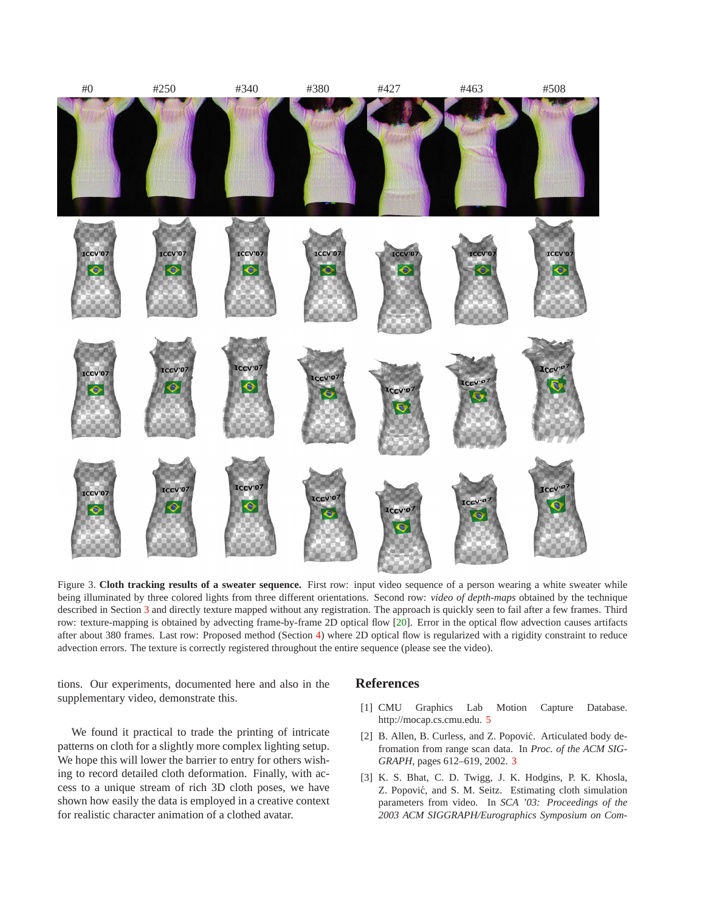<span id="page-5-4"></span>

Figure 3. Cloth tracking results of a sweater sequence. First row: input video sequence of a person wearing a white sweater while being illuminated by three colored lights from three different orientations. Second row: *video of depth-maps* obtained by the technique described in Section [3](#page-1-1) and directly texture mapped without any registration. The approach is quickly seen to fail after a few frames. Third row: texture-mapping is obtained by advecting frame-by-frame 2D optical flow [\[20\]](#page-7-13). Error in the optical flow advection causes artifacts after about 380 frames. Last row: Proposed method (Section [4\)](#page-2-0) where 2D optical flow is regularized with a rigidity constraint to reduce advection errors. The texture is correctly registered throughout the entire sequence (please see the video).

<span id="page-5-1"></span>tions. Our experiments, documented here and also in the supplementary video, demonstrate this.

We found it practical to trade the printing of intricate patterns on cloth for a slightly more complex lighting setup. We hope this will lower the barrier to entry for others wishing to record detailed cloth deformation. Finally, with access to a unique stream of rich 3D cloth poses, we have shown how easily the data is employed in a creative context for realistic character animation of a clothed avatar.

### <span id="page-5-3"></span>**References**

- <span id="page-5-2"></span>[1] CMU Graphics Lab Motion Capture Database. http://mocap.cs.cmu.edu. [5](#page-4-2)
- [2] B. Allen, B. Curless, and Z. Popović. Articulated body defromation from range scan data. In *Proc. of the ACM SIG-GRAPH*, pages 612–619, 2002. [3](#page-2-2)
- <span id="page-5-0"></span>[3] K. S. Bhat, C. D. Twigg, J. K. Hodgins, P. K. Khosla, Z. Popovic, and S. M. Seitz. Estimating cloth simulation ´ parameters from video. In *SCA '03: Proceedings of the 2003 ACM SIGGRAPH/Eurographics Symposium on Com-*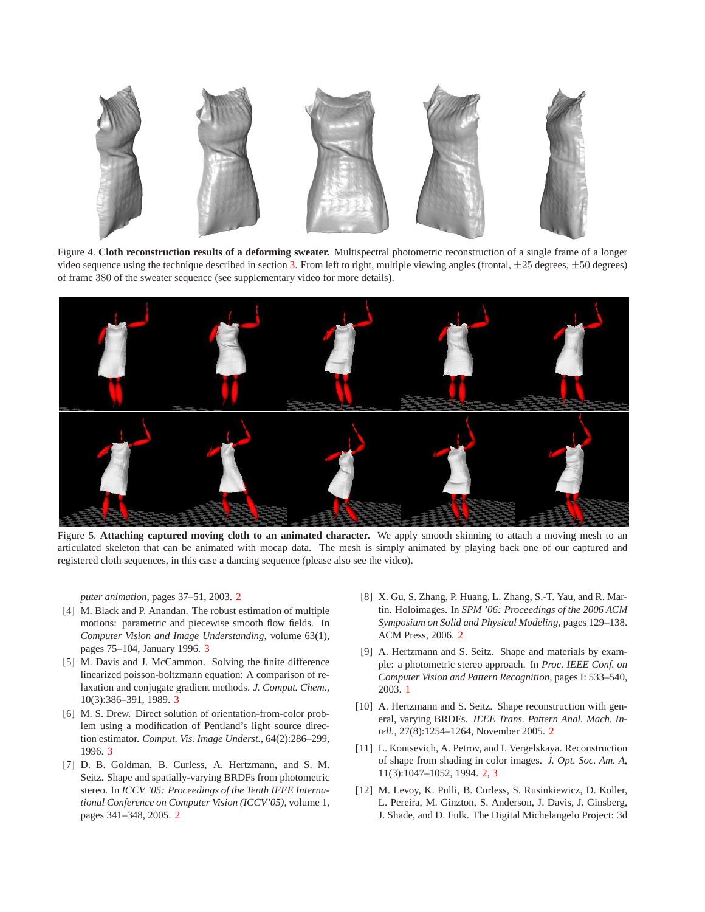

<span id="page-6-9"></span>Figure 4. **Cloth reconstruction results of a deforming sweater.** Multispectral photometric reconstruction of a single frame of a longer video sequence using the technique described in section [3.](#page-1-1) From left to right, multiple viewing angles (frontal,  $\pm 25$  degrees,  $\pm 50$  degrees) of frame 380 of the sweater sequence (see supplementary video for more details).



<span id="page-6-10"></span>Figure 5. **Attaching captured moving cloth to an animated character.** We apply smooth skinning to attach a moving mesh to an articulated skeleton that can be animated with mocap data. The mesh is simply animated by playing back one of our captured and registered cloth sequences, in this case a dancing sequence (please also see the video).

*puter animation*, pages 37–51, 2003. [2](#page-1-2)

- <span id="page-6-8"></span>[4] M. Black and P. Anandan. The robust estimation of multiple motions: parametric and piecewise smooth flow fields. In *Computer Vision and Image Understanding*, volume 63(1), pages 75–104, January 1996. [3](#page-2-2)
- <span id="page-6-7"></span>[5] M. Davis and J. McCammon. Solving the finite difference linearized poisson-boltzmann equation: A comparison of relaxation and conjugate gradient methods. *J. Comput. Chem.*, 10(3):386–391, 1989. [3](#page-2-2)
- <span id="page-6-6"></span>[6] M. S. Drew. Direct solution of orientation-from-color problem using a modification of Pentland's light source direction estimator. *Comput. Vis. Image Underst.*, 64(2):286–299, 1996. [3](#page-2-2)
- <span id="page-6-2"></span>[7] D. B. Goldman, B. Curless, A. Hertzmann, and S. M. Seitz. Shape and spatially-varying BRDFs from photometric stereo. In *ICCV '05: Proceedings of the Tenth IEEE International Conference on Computer Vision (ICCV'05)*, volume 1, pages 341–348, 2005. [2](#page-1-2)
- <span id="page-6-5"></span>[8] X. Gu, S. Zhang, P. Huang, L. Zhang, S.-T. Yau, and R. Martin. Holoimages. In *SPM '06: Proceedings of the 2006 ACM Symposium on Solid and Physical Modeling*, pages 129–138. ACM Press, 2006. [2](#page-1-2)
- <span id="page-6-0"></span>[9] A. Hertzmann and S. Seitz. Shape and materials by example: a photometric stereo approach. In *Proc. IEEE Conf. on Computer Vision and Pattern Recognition*, pages I: 533–540, 2003. [1](#page-0-1)
- <span id="page-6-3"></span>[10] A. Hertzmann and S. Seitz. Shape reconstruction with general, varying BRDFs. *IEEE Trans. Pattern Anal. Mach. Intell.*, 27(8):1254–1264, November 2005. [2](#page-1-2)
- <span id="page-6-4"></span>[11] L. Kontsevich, A. Petrov, and I. Vergelskaya. Reconstruction of shape from shading in color images. *J. Opt. Soc. Am. A*, 11(3):1047–1052, 1994. [2,](#page-1-2) [3](#page-2-2)
- <span id="page-6-1"></span>[12] M. Levoy, K. Pulli, B. Curless, S. Rusinkiewicz, D. Koller, L. Pereira, M. Ginzton, S. Anderson, J. Davis, J. Ginsberg, J. Shade, and D. Fulk. The Digital Michelangelo Project: 3d